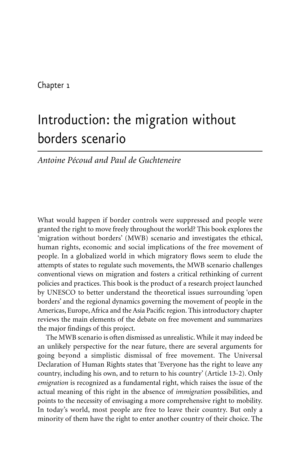Chapter 1

# Introduction: the migration without borders scenario

*Antoine Pécoud and Paul de Guchteneire*

What would happen if border controls were suppressed and people were granted the right to move freely throughout the world? This book explores the 'migration without borders' (MWB) scenario and investigates the ethical, human rights, economic and social implications of the free movement of people. In a globalized world in which migratory flows seem to elude the attempts of states to regulate such movements, the MWB scenario challenges conventional views on migration and fosters a critical rethinking of current policies and practices. This book is the product of a research project launched by UNESCO to better understand the theoretical issues surrounding 'open borders' and the regional dynamics governing the movement of people in the Americas, Europe, Africa and the Asia Pacific region. This introductory chapter reviews the main elements of the debate on free movement and summarizes the major findings of this project.

The MWB scenario is often dismissed as unrealistic. While it may indeed be an unlikely perspective for the near future, there are several arguments for going beyond a simplistic dismissal of free movement. The Universal Declaration of Human Rights states that 'Everyone has the right to leave any country, including his own, and to return to his country' (Article 13-2). Only *emigration* is recognized as a fundamental right, which raises the issue of the actual meaning of this right in the absence of *immigration* possibilities, and points to the necessity of envisaging a more comprehensive right to mobility. In today's world, most people are free to leave their country. But only a minority of them have the right to enter another country of their choice. The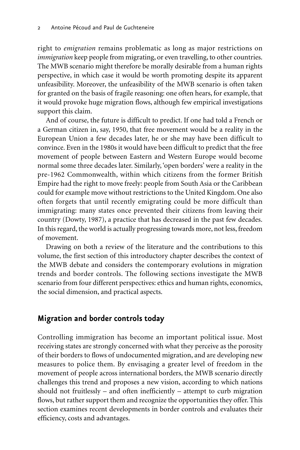right to *emigration* remains problematic as long as major restrictions on *immigration* keep people from migrating, or even travelling, to other countries. The MWB scenario might therefore be morally desirable from a human rights perspective, in which case it would be worth promoting despite its apparent unfeasibility. Moreover, the unfeasibility of the MWB scenario is often taken for granted on the basis of fragile reasoning: one often hears, for example, that it would provoke huge migration flows, although few empirical investigations support this claim.

And of course, the future is difficult to predict. If one had told a French or a German citizen in, say, 1950, that free movement would be a reality in the European Union a few decades later, he or she may have been difficult to convince. Even in the 1980s it would have been difficult to predict that the free movement of people between Eastern and Western Europe would become normal some three decades later. Similarly, 'open borders' were a reality in the pre-1962 Commonwealth, within which citizens from the former British Empire had the right to move freely: people from South Asia or the Caribbean could for example move without restrictions to the United Kingdom. One also often forgets that until recently emigrating could be more difficult than immigrating: many states once prevented their citizens from leaving their country (Dowty, 1987), a practice that has decreased in the past few decades. In this regard, the world is actually progressing towards more, not less, freedom of movement.

Drawing on both a review of the literature and the contributions to this volume, the first section of this introductory chapter describes the context of the MWB debate and considers the contemporary evolutions in migration trends and border controls. The following sections investigate the MWB scenario from four different perspectives: ethics and human rights, economics, the social dimension, and practical aspects.

## **Migration and border controls today**

Controlling immigration has become an important political issue. Most receiving states are strongly concerned with what they perceive as the porosity of their borders to flows of undocumented migration, and are developing new measures to police them. By envisaging a greater level of freedom in the movement of people across international borders, the MWB scenario directly challenges this trend and proposes a new vision, according to which nations should not fruitlessly – and often inefficiently – attempt to curb migration flows, but rather support them and recognize the opportunities they offer. This section examines recent developments in border controls and evaluates their efficiency, costs and advantages.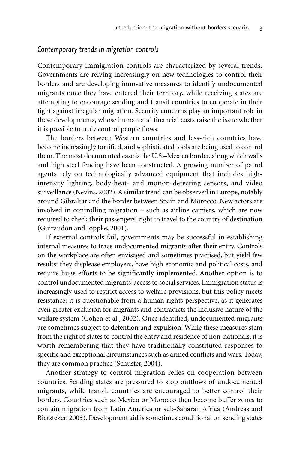## *Contemporary trends in migration controls*

Contemporary immigration controls are characterized by several trends. Governments are relying increasingly on new technologies to control their borders and are developing innovative measures to identify undocumented migrants once they have entered their territory, while receiving states are attempting to encourage sending and transit countries to cooperate in their fight against irregular migration. Security concerns play an important role in these developments, whose human and financial costs raise the issue whether it is possible to truly control people flows.

The borders between Western countries and less-rich countries have become increasingly fortified, and sophisticated tools are being used to control them. The most documented case is the U.S.–Mexico border, along which walls and high steel fencing have been constructed. A growing number of patrol agents rely on technologically advanced equipment that includes highintensity lighting, body-heat- and motion-detecting sensors, and video surveillance (Nevins, 2002). A similar trend can be observed in Europe, notably around Gibraltar and the border between Spain and Morocco. New actors are involved in controlling migration – such as airline carriers, which are now required to check their passengers' right to travel to the country of destination (Guiraudon and Joppke, 2001).

If external controls fail, governments may be successful in establishing internal measures to trace undocumented migrants after their entry. Controls on the workplace are often envisaged and sometimes practised, but yield few results: they displease employers, have high economic and political costs, and require huge efforts to be significantly implemented. Another option is to control undocumented migrants' access to social services. Immigration status is increasingly used to restrict access to welfare provisions, but this policy meets resistance: it is questionable from a human rights perspective, as it generates even greater exclusion for migrants and contradicts the inclusive nature of the welfare system (Cohen et al., 2002). Once identified, undocumented migrants are sometimes subject to detention and expulsion. While these measures stem from the right of states to control the entry and residence of non-nationals, it is worth remembering that they have traditionally constituted responses to specific and exceptional circumstances such as armed conflicts and wars. Today, they are common practice (Schuster, 2004).

Another strategy to control migration relies on cooperation between countries. Sending states are pressured to stop outflows of undocumented migrants, while transit countries are encouraged to better control their borders. Countries such as Mexico or Morocco then become buffer zones to contain migration from Latin America or sub-Saharan Africa (Andreas and Biersteker, 2003). Development aid is sometimes conditional on sending states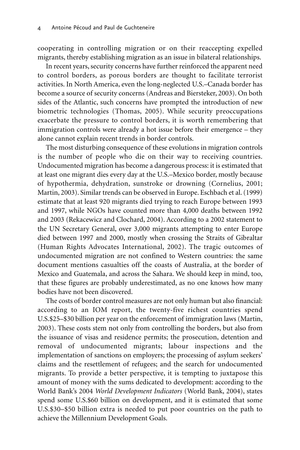cooperating in controlling migration or on their reaccepting expelled migrants, thereby establishing migration as an issue in bilateral relationships.

In recent years, security concerns have further reinforced the apparent need to control borders, as porous borders are thought to facilitate terrorist activities. In North America, even the long-neglected U.S.–Canada border has become a source of security concerns (Andreas and Biersteker, 2003). On both sides of the Atlantic, such concerns have prompted the introduction of new biometric technologies (Thomas, 2005). While security preoccupations exacerbate the pressure to control borders, it is worth remembering that immigration controls were already a hot issue before their emergence – they alone cannot explain recent trends in border controls.

The most disturbing consequence of these evolutions in migration controls is the number of people who die on their way to receiving countries. Undocumented migration has become a dangerous process: it is estimated that at least one migrant dies every day at the U.S.–Mexico border, mostly because of hypothermia, dehydration, sunstroke or drowning (Cornelius, 2001; Martin, 2003). Similar trends can be observed in Europe. Eschbach et al. (1999) estimate that at least 920 migrants died trying to reach Europe between 1993 and 1997, while NGOs have counted more than 4,000 deaths between 1992 and 2003 (Rekacewicz and Clochard, 2004). According to a 2002 statement to the UN Secretary General, over 3,000 migrants attempting to enter Europe died between 1997 and 2000, mostly when crossing the Straits of Gibraltar (Human Rights Advocates International, 2002). The tragic outcomes of undocumented migration are not confined to Western countries: the same document mentions casualties off the coasts of Australia, at the border of Mexico and Guatemala, and across the Sahara. We should keep in mind, too, that these figures are probably underestimated, as no one knows how many bodies have not been discovered.

The costs of border control measures are not only human but also financial: according to an IOM report, the twenty-five richest countries spend U.S.\$25–\$30 billion per year on the enforcement of immigration laws (Martin, 2003). These costs stem not only from controlling the borders, but also from the issuance of visas and residence permits; the prosecution, detention and removal of undocumented migrants; labour inspections and the implementation of sanctions on employers; the processing of asylum seekers' claims and the resettlement of refugees; and the search for undocumented migrants. To provide a better perspective, it is tempting to juxtapose this amount of money with the sums dedicated to development: according to the World Bank's 2004 *World Development Indicators* (World Bank, 2004), states spend some U.S.\$60 billion on development, and it is estimated that some U.S.\$30–\$50 billion extra is needed to put poor countries on the path to achieve the Millennium Development Goals.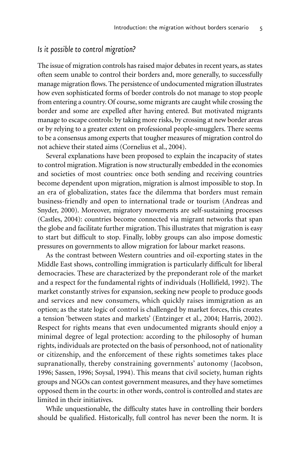### *Is it possible to control migration?*

The issue of migration controls has raised major debates in recent years, as states often seem unable to control their borders and, more generally, to successfully manage migration flows. The persistence of undocumented migration illustrates how even sophisticated forms of border controls do not manage to stop people from entering a country. Of course, some migrants are caught while crossing the border and some are expelled after having entered. But motivated migrants manage to escape controls: by taking more risks, by crossing at new border areas or by relying to a greater extent on professional people-smugglers. There seems to be a consensus among experts that tougher measures of migration control do not achieve their stated aims (Cornelius et al., 2004).

Several explanations have been proposed to explain the incapacity of states to control migration. Migration is now structurally embedded in the economies and societies of most countries: once both sending and receiving countries become dependent upon migration, migration is almost impossible to stop. In an era of globalization, states face the dilemma that borders must remain business-friendly and open to international trade or tourism (Andreas and Snyder, 2000). Moreover, migratory movements are self-sustaining processes (Castles, 2004): countries become connected via migrant networks that span the globe and facilitate further migration. This illustrates that migration is easy to start but difficult to stop. Finally, lobby groups can also impose domestic pressures on governments to allow migration for labour market reasons.

As the contrast between Western countries and oil-exporting states in the Middle East shows, controlling immigration is particularly difficult for liberal democracies. These are characterized by the preponderant role of the market and a respect for the fundamental rights of individuals (Hollifield, 1992). The market constantly strives for expansion, seeking new people to produce goods and services and new consumers, which quickly raises immigration as an option; as the state logic of control is challenged by market forces, this creates a tension 'between states and markets' (Entzinger et al., 2004; Harris, 2002). Respect for rights means that even undocumented migrants should enjoy a minimal degree of legal protection: according to the philosophy of human rights, individuals are protected on the basis of personhood, not of nationality or citizenship, and the enforcement of these rights sometimes takes place supranationally, thereby constraining governments' autonomy (Jacobson, 1996; Sassen, 1996; Soysal, 1994). This means that civil society, human rights groups and NGOs can contest government measures, and they have sometimes opposed them in the courts: in other words, control is controlled and states are limited in their initiatives.

While unquestionable, the difficulty states have in controlling their borders should be qualified. Historically, full control has never been the norm. It is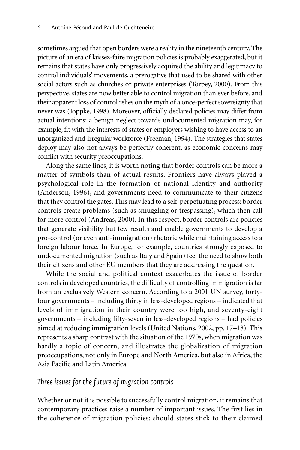sometimes argued that open borders were a reality in the nineteenth century. The picture of an era of laissez-faire migration policies is probably exaggerated, but it remains that states have only progressively acquired the ability and legitimacy to control individuals' movements, a prerogative that used to be shared with other social actors such as churches or private enterprises (Torpey, 2000). From this perspective, states are now better able to control migration than ever before, and their apparent loss of control relies on the myth of a once-perfect sovereignty that never was (Joppke, 1998). Moreover, officially declared policies may differ from actual intentions: a benign neglect towards undocumented migration may, for example, fit with the interests of states or employers wishing to have access to an unorganized and irregular workforce (Freeman, 1994). The strategies that states deploy may also not always be perfectly coherent, as economic concerns may conflict with security preoccupations.

Along the same lines, it is worth noting that border controls can be more a matter of symbols than of actual results. Frontiers have always played a psychological role in the formation of national identity and authority (Anderson, 1996), and governments need to communicate to their citizens that they control the gates. This may lead to a self-perpetuating process: border controls create problems (such as smuggling or trespassing), which then call for more control (Andreas, 2000). In this respect, border controls are policies that generate visibility but few results and enable governments to develop a pro-control (or even anti-immigration) rhetoric while maintaining access to a foreign labour force. In Europe, for example, countries strongly exposed to undocumented migration (such as Italy and Spain) feel the need to show both their citizens and other EU members that they are addressing the question.

While the social and political context exacerbates the issue of border controls in developed countries, the difficulty of controlling immigration is far from an exclusively Western concern. According to a 2001 UN survey, fortyfour governments – including thirty in less-developed regions – indicated that levels of immigration in their country were too high, and seventy-eight governments – including fifty-seven in less-developed regions – had policies aimed at reducing immigration levels (United Nations, 2002, pp. 17–18). This represents a sharp contrast with the situation of the 1970s, when migration was hardly a topic of concern, and illustrates the globalization of migration preoccupations, not only in Europe and North America, but also in Africa, the Asia Pacific and Latin America.

### *Three issues for the future of migration controls*

Whether or not it is possible to successfully control migration, it remains that contemporary practices raise a number of important issues. The first lies in the coherence of migration policies: should states stick to their claimed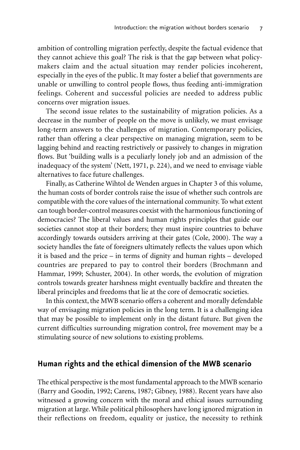ambition of controlling migration perfectly, despite the factual evidence that they cannot achieve this goal? The risk is that the gap between what policymakers claim and the actual situation may render policies incoherent, especially in the eyes of the public. It may foster a belief that governments are unable or unwilling to control people flows, thus feeding anti-immigration feelings. Coherent and successful policies are needed to address public concerns over migration issues.

The second issue relates to the sustainability of migration policies. As a decrease in the number of people on the move is unlikely, we must envisage long-term answers to the challenges of migration. Contemporary policies, rather than offering a clear perspective on managing migration, seem to be lagging behind and reacting restrictively or passively to changes in migration flows. But 'building walls is a peculiarly lonely job and an admission of the inadequacy of the system' (Nett, 1971, p. 224), and we need to envisage viable alternatives to face future challenges.

Finally, as Catherine Wihtol de Wenden argues in Chapter 3 of this volume, the human costs of border controls raise the issue of whether such controls are compatible with the core values of the international community. To what extent can tough border-control measures coexist with the harmonious functioning of democracies? The liberal values and human rights principles that guide our societies cannot stop at their borders; they must inspire countries to behave accordingly towards outsiders arriving at their gates (Cole, 2000). The way a society handles the fate of foreigners ultimately reflects the values upon which it is based and the price – in terms of dignity and human rights – developed countries are prepared to pay to control their borders (Brochmann and Hammar, 1999; Schuster, 2004). In other words, the evolution of migration controls towards greater harshness might eventually backfire and threaten the liberal principles and freedoms that lie at the core of democratic societies.

In this context, the MWB scenario offers a coherent and morally defendable way of envisaging migration policies in the long term. It is a challenging idea that may be possible to implement only in the distant future. But given the current difficulties surrounding migration control, free movement may be a stimulating source of new solutions to existing problems.

# **Human rights and the ethical dimension of the MWB scenario**

The ethical perspective is the most fundamental approach to the MWB scenario (Barry and Goodin, 1992; Carens, 1987; Gibney, 1988). Recent years have also witnessed a growing concern with the moral and ethical issues surrounding migration at large. While political philosophers have long ignored migration in their reflections on freedom, equality or justice, the necessity to rethink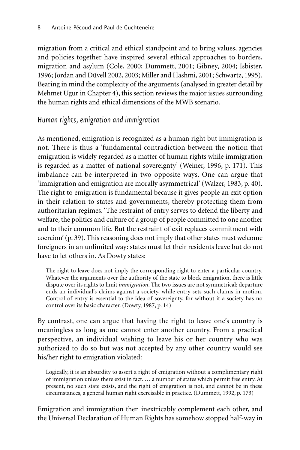migration from a critical and ethical standpoint and to bring values, agencies and policies together have inspired several ethical approaches to borders, migration and asylum (Cole, 2000; Dummett, 2001; Gibney, 2004; Isbister, 1996; Jordan and Düvell 2002, 2003; Miller and Hashmi, 2001; Schwartz, 1995). Bearing in mind the complexity of the arguments (analysed in greater detail by Mehmet Ugur in Chapter 4), this section reviews the major issues surrounding the human rights and ethical dimensions of the MWB scenario.

## *Human rights, emigration and immigration*

As mentioned, emigration is recognized as a human right but immigration is not. There is thus a 'fundamental contradiction between the notion that emigration is widely regarded as a matter of human rights while immigration is regarded as a matter of national sovereignty' (Weiner, 1996, p. 171). This imbalance can be interpreted in two opposite ways. One can argue that 'immigration and emigration are morally asymmetrical' (Walzer, 1983, p. 40). The right to emigration is fundamental because it gives people an exit option in their relation to states and governments, thereby protecting them from authoritarian regimes. 'The restraint of entry serves to defend the liberty and welfare, the politics and culture of a group of people committed to one another and to their common life. But the restraint of exit replaces commitment with coercion' (p. 39). This reasoning does not imply that other states must welcome foreigners in an unlimited way: states must let their residents leave but do not have to let others in. As Dowty states:

The right to leave does not imply the corresponding right to enter a particular country. Whatever the arguments over the authority of the state to block emigration, there is little dispute over its rights to limit *immigration*. The two issues are not symmetrical: departure ends an individual's claims against a society, while entry sets such claims in motion. Control of entry is essential to the idea of sovereignty, for without it a society has no control over its basic character. (Dowty, 1987, p. 14)

By contrast, one can argue that having the right to leave one's country is meaningless as long as one cannot enter another country. From a practical perspective, an individual wishing to leave his or her country who was authorized to do so but was not accepted by any other country would see his/her right to emigration violated:

Logically, it is an absurdity to assert a right of emigration without a complimentary right of immigration unless there exist in fact. … a number of states which permit free entry. At present, no such state exists, and the right of emigration is not, and cannot be in these circumstances, a general human right exercisable in practice. (Dummett, 1992, p. 173)

Emigration and immigration then inextricably complement each other, and the Universal Declaration of Human Rights has somehow stopped half-way in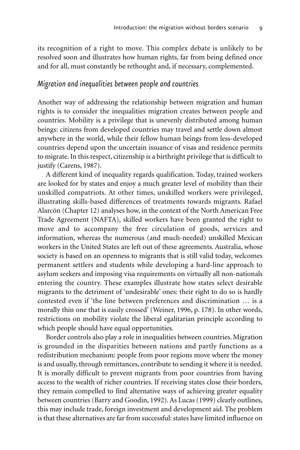its recognition of a right to move. This complex debate is unlikely to be resolved soon and illustrates how human rights, far from being defined once and for all, must constantly be rethought and, if necessary, complemented.

#### *Migration and inequalities between people and countries*

Another way of addressing the relationship between migration and human rights is to consider the inequalities migration creates between people and countries. Mobility is a privilege that is unevenly distributed among human beings: citizens from developed countries may travel and settle down almost anywhere in the world, while their fellow human beings from less-developed countries depend upon the uncertain issuance of visas and residence permits to migrate. In this respect, citizenship is a birthright privilege that is difficult to justify (Carens, 1987).

A different kind of inequality regards qualification. Today, trained workers are looked for by states and enjoy a much greater level of mobility than their unskilled compatriots. At other times, unskilled workers were privileged, illustrating skills-based differences of treatments towards migrants. Rafael Alarcón (Chapter 12) analyses how, in the context of the North American Free Trade Agreement (NAFTA), skilled workers have been granted the right to move and to accompany the free circulation of goods, services and information, whereas the numerous (and much-needed) unskilled Mexican workers in the United States are left out of these agreements. Australia, whose society is based on an openness to migrants that is still valid today, welcomes permanent settlers and students while developing a hard-line approach to asylum seekers and imposing visa requirements on virtually all non-nationals entering the country. These examples illustrate how states select desirable migrants to the detriment of 'undesirable' ones: their right to do so is hardly contested even if 'the line between preferences and discrimination … is a morally thin one that is easily crossed' (Weiner, 1996, p. 178). In other words, restrictions on mobility violate the liberal egalitarian principle according to which people should have equal opportunities.

Border controls also play a role in inequalities between countries. Migration is grounded in the disparities between nations and partly functions as a redistribution mechanism: people from poor regions move where the money is and usually, through remittances, contribute to sending it where it is needed. It is morally difficult to prevent migrants from poor countries from having access to the wealth of richer countries. If receiving states close their borders, they remain compelled to find alternative ways of achieving greater equality between countries (Barry and Goodin, 1992). As Lucas (1999) clearly outlines, this may include trade, foreign investment and development aid. The problem is that these alternatives are far from successful: states have limited influence on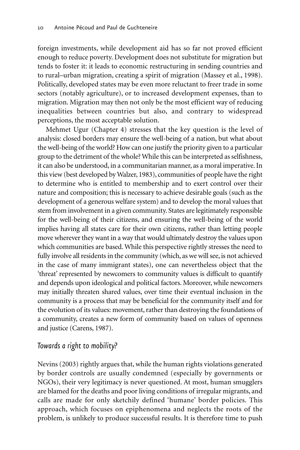foreign investments, while development aid has so far not proved efficient enough to reduce poverty. Development does not substitute for migration but tends to foster it: it leads to economic restructuring in sending countries and to rural–urban migration, creating a spirit of migration (Massey et al., 1998). Politically, developed states may be even more reluctant to freer trade in some sectors (notably agriculture), or to increased development expenses, than to migration. Migration may then not only be the most efficient way of reducing inequalities between countries but also, and contrary to widespread perceptions, the most acceptable solution.

Mehmet Ugur (Chapter 4) stresses that the key question is the level of analysis: closed borders may ensure the well-being of a nation, but what about the well-being of the world? How can one justify the priority given to a particular group to the detriment of the whole? While this can be interpreted as selfishness, it can also be understood, in a communitarian manner, as a moral imperative. In this view (best developed by Walzer, 1983), communities of people have the right to determine who is entitled to membership and to exert control over their nature and composition; this is necessary to achieve desirable goals (such as the development of a generous welfare system) and to develop the moral values that stem from involvement in a given community. States are legitimately responsible for the well-being of their citizens, and ensuring the well-being of the world implies having all states care for their own citizens, rather than letting people move wherever they want in a way that would ultimately destroy the values upon which communities are based. While this perspective rightly stresses the need to fully involve all residents in the community (which, as we will see, is not achieved in the case of many immigrant states), one can nevertheless object that the 'threat' represented by newcomers to community values is difficult to quantify and depends upon ideological and political factors. Moreover, while newcomers may initially threaten shared values, over time their eventual inclusion in the community is a process that may be beneficial for the community itself and for the evolution of its values: movement, rather than destroying the foundations of a community, creates a new form of community based on values of openness and justice (Carens, 1987).

#### *Towards a right to mobility?*

Nevins (2003) rightly argues that, while the human rights violations generated by border controls are usually condemned (especially by governments or NGOs), their very legitimacy is never questioned. At most, human smugglers are blamed for the deaths and poor living conditions of irregular migrants, and calls are made for only sketchily defined 'humane' border policies. This approach, which focuses on epiphenomena and neglects the roots of the problem, is unlikely to produce successful results. It is therefore time to push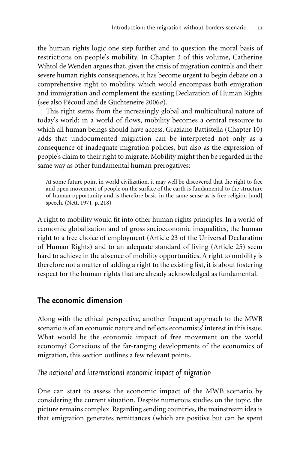the human rights logic one step further and to question the moral basis of restrictions on people's mobility. In Chapter 3 of this volume, Catherine Wihtol de Wenden argues that, given the crisis of migration controls and their severe human rights consequences, it has become urgent to begin debate on a comprehensive right to mobility, which would encompass both emigration and immigration and complement the existing Declaration of Human Rights (see also Pécoud and de Guchteneire 2006*a*).

This right stems from the increasingly global and multicultural nature of today's world: in a world of flows, mobility becomes a central resource to which all human beings should have access. Graziano Battistella (Chapter 10) adds that undocumented migration can be interpreted not only as a consequence of inadequate migration policies, but also as the expression of people's claim to their right to migrate. Mobility might then be regarded in the same way as other fundamental human prerogatives:

At some future point in world civilization, it may well be discovered that the right to free and open movement of people on the surface of the earth is fundamental to the structure of human opportunity and is therefore basic in the same sense as is free religion [and] speech. (Nett, 1971, p. 218)

A right to mobility would fit into other human rights principles. In a world of economic globalization and of gross socioeconomic inequalities, the human right to a free choice of employment (Article 23 of the Universal Declaration of Human Rights) and to an adequate standard of living (Article 25) seem hard to achieve in the absence of mobility opportunities. A right to mobility is therefore not a matter of adding a right to the existing list, it is about fostering respect for the human rights that are already acknowledged as fundamental.

# **The economic dimension**

Along with the ethical perspective, another frequent approach to the MWB scenario is of an economic nature and reflects economists' interest in this issue. What would be the economic impact of free movement on the world economy? Conscious of the far-ranging developments of the economics of migration, this section outlines a few relevant points.

## *The national and international economic impact of migration*

One can start to assess the economic impact of the MWB scenario by considering the current situation. Despite numerous studies on the topic, the picture remains complex. Regarding sending countries, the mainstream idea is that emigration generates remittances (which are positive but can be spent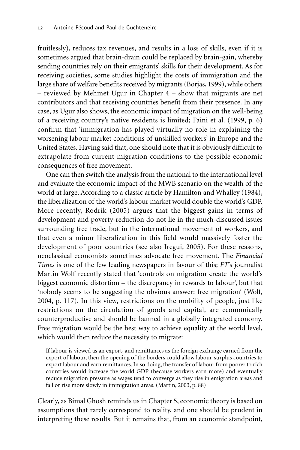fruitlessly), reduces tax revenues, and results in a loss of skills, even if it is sometimes argued that brain-drain could be replaced by brain-gain, whereby sending countries rely on their emigrants' skills for their development. As for receiving societies, some studies highlight the costs of immigration and the large share of welfare benefits received by migrants (Borjas, 1999), while others – reviewed by Mehmet Ugur in Chapter 4 – show that migrants are net contributors and that receiving countries benefit from their presence. In any case, as Ugur also shows, the economic impact of migration on the well-being of a receiving country's native residents is limited; Faini et al. (1999, p. 6) confirm that 'immigration has played virtually no role in explaining the worsening labour market conditions of unskilled workers' in Europe and the United States. Having said that, one should note that it is obviously difficult to extrapolate from current migration conditions to the possible economic consequences of free movement.

One can then switch the analysis from the national to the international level and evaluate the economic impact of the MWB scenario on the wealth of the world at large. According to a classic article by Hamilton and Whalley (1984), the liberalization of the world's labour market would double the world's GDP. More recently, Rodrik (2005) argues that the biggest gains in terms of development and poverty-reduction do not lie in the much-discussed issues surrounding free trade, but in the international movement of workers, and that even a minor liberalization in this field would massively foster the development of poor countries (see also Iregui, 2005). For these reasons, neoclassical economists sometimes advocate free movement. The *Financial Times* is one of the few leading newspapers in favour of this; *FT*'s journalist Martin Wolf recently stated that 'controls on migration create the world's biggest economic distortion – the discrepancy in rewards to labour', but that 'nobody seems to be suggesting the obvious answer: free migration' (Wolf, 2004, p. 117). In this view, restrictions on the mobility of people, just like restrictions on the circulation of goods and capital, are economically counterproductive and should be banned in a globally integrated economy. Free migration would be the best way to achieve equality at the world level, which would then reduce the necessity to migrate:

If labour is viewed as an export, and remittances as the foreign exchange earned from the export of labour, then the opening of the borders could allow labour-surplus countries to export labour and earn remittances. In so doing, the transfer of labour from poorer to rich countries would increase the world GDP (because workers earn more) and eventually reduce migration pressure as wages tend to converge as they rise in emigration areas and fall or rise more slowly in immigration areas. (Martin, 2003, p. 88)

Clearly, as Bimal Ghosh reminds us in Chapter 5, economic theory is based on assumptions that rarely correspond to reality, and one should be prudent in interpreting these results. But it remains that, from an economic standpoint,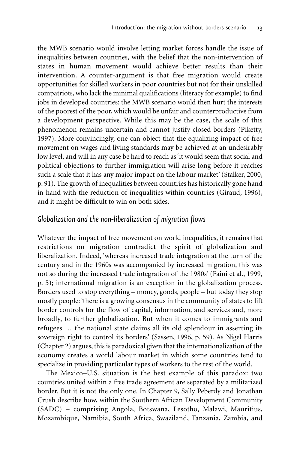the MWB scenario would involve letting market forces handle the issue of inequalities between countries, with the belief that the non-intervention of states in human movement would achieve better results than their intervention. A counter-argument is that free migration would create opportunities for skilled workers in poor countries but not for their unskilled compatriots, who lack the minimal qualifications (literacy for example) to find jobs in developed countries: the MWB scenario would then hurt the interests of the poorest of the poor, which would be unfair and counterproductive from a development perspective. While this may be the case, the scale of this phenomenon remains uncertain and cannot justify closed borders (Piketty, 1997). More convincingly, one can object that the equalizing impact of free movement on wages and living standards may be achieved at an undesirably low level, and will in any case be hard to reach as 'it would seem that social and political objections to further immigration will arise long before it reaches such a scale that it has any major impact on the labour market' (Stalker, 2000, p. 91). The growth of inequalities between countries has historically gone hand in hand with the reduction of inequalities within countries (Giraud, 1996), and it might be difficult to win on both sides.

## *Globalization and the non-liberalization of migration flows*

Whatever the impact of free movement on world inequalities, it remains that restrictions on migration contradict the spirit of globalization and liberalization. Indeed, 'whereas increased trade integration at the turn of the century and in the 1960s was accompanied by increased migration, this was not so during the increased trade integration of the 1980s' (Faini et al., 1999, p. 5); international migration is an exception in the globalization process. Borders used to stop everything – money, goods, people – but today they stop mostly people: 'there is a growing consensus in the community of states to lift border controls for the flow of capital, information, and services and, more broadly, to further globalization. But when it comes to immigrants and refugees … the national state claims all its old splendour in asserting its sovereign right to control its borders' (Sassen, 1996, p. 59). As Nigel Harris (Chapter 2) argues, this is paradoxical given that the internationalization of the economy creates a world labour market in which some countries tend to specialize in providing particular types of workers to the rest of the world.

The Mexico–U.S. situation is the best example of this paradox: two countries united within a free trade agreement are separated by a militarized border. But it is not the only one. In Chapter 9, Sally Peberdy and Jonathan Crush describe how, within the Southern African Development Community (SADC) – comprising Angola, Botswana, Lesotho, Malawi, Mauritius, Mozambique, Namibia, South Africa, Swaziland, Tanzania, Zambia, and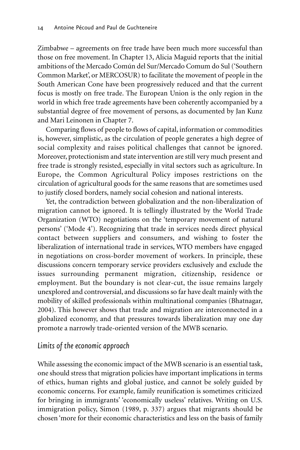Zimbabwe – agreements on free trade have been much more successful than those on free movement. In Chapter 13, Alicia Maguid reports that the initial ambitions of the Mercado Común del Sur/Mercado Comum do Sul ('Southern Common Market', or MERCOSUR) to facilitate the movement of people in the South American Cone have been progressively reduced and that the current focus is mostly on free trade. The European Union is the only region in the world in which free trade agreements have been coherently accompanied by a substantial degree of free movement of persons, as documented by Jan Kunz and Mari Leinonen in Chapter 7.

Comparing flows of people to flows of capital, information or commodities is, however, simplistic, as the circulation of people generates a high degree of social complexity and raises political challenges that cannot be ignored. Moreover, protectionism and state intervention are still very much present and free trade is strongly resisted, especially in vital sectors such as agriculture. In Europe, the Common Agricultural Policy imposes restrictions on the circulation of agricultural goods for the same reasons that are sometimes used to justify closed borders, namely social cohesion and national interests.

Yet, the contradiction between globalization and the non-liberalization of migration cannot be ignored. It is tellingly illustrated by the World Trade Organization (WTO) negotiations on the 'temporary movement of natural persons' ('Mode 4'). Recognizing that trade in services needs direct physical contact between suppliers and consumers, and wishing to foster the liberalization of international trade in services, WTO members have engaged in negotiations on cross-border movement of workers. In principle, these discussions concern temporary service providers exclusively and exclude the issues surrounding permanent migration, citizenship, residence or employment. But the boundary is not clear-cut, the issue remains largely unexplored and controversial, and discussions so far have dealt mainly with the mobility of skilled professionals within multinational companies (Bhatnagar, 2004). This however shows that trade and migration are interconnected in a globalized economy, and that pressures towards liberalization may one day promote a narrowly trade-oriented version of the MWB scenario.

#### *Limits of the economic approach*

While assessing the economic impact of the MWB scenario is an essential task, one should stress that migration policies have important implications in terms of ethics, human rights and global justice, and cannot be solely guided by economic concerns. For example, family reunification is sometimes criticized for bringing in immigrants' 'economically useless' relatives. Writing on U.S. immigration policy, Simon (1989, p. 337) argues that migrants should be chosen 'more for their economic characteristics and less on the basis of family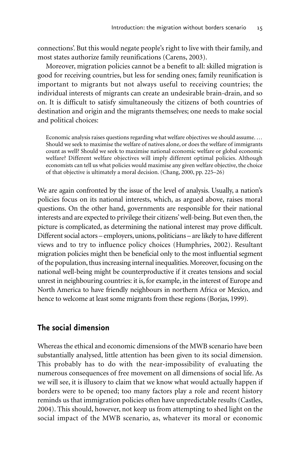connections'. But this would negate people's right to live with their family, and most states authorize family reunifications (Carens, 2003).

Moreover, migration policies cannot be a benefit to all: skilled migration is good for receiving countries, but less for sending ones; family reunification is important to migrants but not always useful to receiving countries; the individual interests of migrants can create an undesirable brain-drain, and so on. It is difficult to satisfy simultaneously the citizens of both countries of destination and origin and the migrants themselves; one needs to make social and political choices:

Economic analysis raises questions regarding what welfare objectives we should assume. … Should we seek to maximise the welfare of natives alone, or does the welfare of immigrants count as well? Should we seek to maximise national economic welfare or global economic welfare? Different welfare objectives will imply different optimal policies. Although economists can tell us what policies would maximise any given welfare objective, the choice of that objective is ultimately a moral decision. (Chang, 2000, pp. 225–26)

We are again confronted by the issue of the level of analysis. Usually, a nation's policies focus on its national interests, which, as argued above, raises moral questions. On the other hand, governments are responsible for their national interests and are expected to privilege their citizens' well-being. But even then, the picture is complicated, as determining the national interest may prove difficult. Different social actors – employers, unions, politicians – are likely to have different views and to try to influence policy choices (Humphries, 2002). Resultant migration policies might then be beneficial only to the most influential segment of the population, thus increasing internal inequalities. Moreover, focusing on the national well-being might be counterproductive if it creates tensions and social unrest in neighbouring countries: it is, for example, in the interest of Europe and North America to have friendly neighbours in northern Africa or Mexico, and hence to welcome at least some migrants from these regions (Borjas, 1999).

## **The social dimension**

Whereas the ethical and economic dimensions of the MWB scenario have been substantially analysed, little attention has been given to its social dimension. This probably has to do with the near-impossibility of evaluating the numerous consequences of free movement on all dimensions of social life. As we will see, it is illusory to claim that we know what would actually happen if borders were to be opened; too many factors play a role and recent history reminds us that immigration policies often have unpredictable results (Castles, 2004). This should, however, not keep us from attempting to shed light on the social impact of the MWB scenario, as, whatever its moral or economic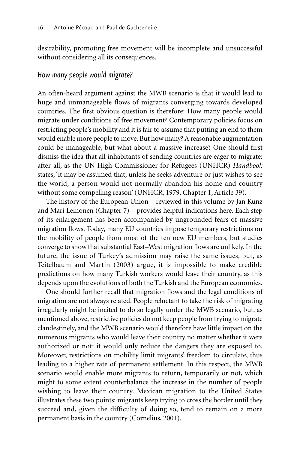desirability, promoting free movement will be incomplete and unsuccessful without considering all its consequences.

#### *How many people would migrate?*

An often-heard argument against the MWB scenario is that it would lead to huge and unmanageable flows of migrants converging towards developed countries. The first obvious question is therefore: How many people would migrate under conditions of free movement? Contemporary policies focus on restricting people's mobility and it is fair to assume that putting an end to them would enable more people to move. But how many? A reasonable augmentation could be manageable, but what about a massive increase? One should first dismiss the idea that all inhabitants of sending countries are eager to migrate: after all, as the UN High Commissioner for Refugees (UNHCR) *Handbook* states, 'it may be assumed that, unless he seeks adventure or just wishes to see the world, a person would not normally abandon his home and country without some compelling reason' (UNHCR, 1979, Chapter 1, Article 39).

The history of the European Union – reviewed in this volume by Jan Kunz and Mari Leinonen (Chapter 7) – provides helpful indications here. Each step of its enlargement has been accompanied by ungrounded fears of massive migration flows. Today, many EU countries impose temporary restrictions on the mobility of people from most of the ten new EU members, but studies converge to show that substantial East–West migration flows are unlikely. In the future, the issue of Turkey's admission may raise the same issues, but, as Teitelbaum and Martin (2003) argue, it is impossible to make credible predictions on how many Turkish workers would leave their country, as this depends upon the evolutions of both the Turkish and the European economies.

One should further recall that migration flows and the legal conditions of migration are not always related. People reluctant to take the risk of migrating irregularly might be incited to do so legally under the MWB scenario, but, as mentioned above, restrictive policies do not keep people from trying to migrate clandestinely, and the MWB scenario would therefore have little impact on the numerous migrants who would leave their country no matter whether it were authorized or not: it would only reduce the dangers they are exposed to. Moreover, restrictions on mobility limit migrants' freedom to circulate, thus leading to a higher rate of permanent settlement. In this respect, the MWB scenario would enable more migrants to return, temporarily or not, which might to some extent counterbalance the increase in the number of people wishing to leave their country. Mexican migration to the United States illustrates these two points: migrants keep trying to cross the border until they succeed and, given the difficulty of doing so, tend to remain on a more permanent basis in the country (Cornelius, 2001).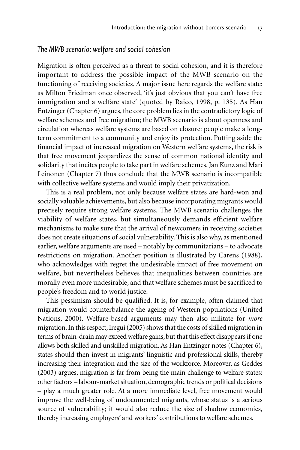## *The MWB scenario: welfare and social cohesion*

Migration is often perceived as a threat to social cohesion, and it is therefore important to address the possible impact of the MWB scenario on the functioning of receiving societies. A major issue here regards the welfare state: as Milton Friedman once observed, 'it's just obvious that you can't have free immigration and a welfare state' (quoted by Raico, 1998, p. 135). As Han Entzinger (Chapter 6) argues, the core problem lies in the contradictory logic of welfare schemes and free migration; the MWB scenario is about openness and circulation whereas welfare systems are based on closure: people make a longterm commitment to a community and enjoy its protection. Putting aside the financial impact of increased migration on Western welfare systems, the risk is that free movement jeopardizes the sense of common national identity and solidarity that incites people to take part in welfare schemes. Jan Kunz and Mari Leinonen (Chapter 7) thus conclude that the MWB scenario is incompatible with collective welfare systems and would imply their privatization.

This is a real problem, not only because welfare states are hard-won and socially valuable achievements, but also because incorporating migrants would precisely require strong welfare systems. The MWB scenario challenges the viability of welfare states, but simultaneously demands efficient welfare mechanisms to make sure that the arrival of newcomers in receiving societies does not create situations of social vulnerability. This is also why, as mentioned earlier, welfare arguments are used – notably by communitarians – to advocate restrictions on migration. Another position is illustrated by Carens (1988), who acknowledges with regret the undesirable impact of free movement on welfare, but nevertheless believes that inequalities between countries are morally even more undesirable, and that welfare schemes must be sacrificed to people's freedom and to world justice.

This pessimism should be qualified. It is, for example, often claimed that migration would counterbalance the ageing of Western populations (United Nations, 2000). Welfare-based arguments may then also militate for *more* migration. In this respect, Iregui (2005) shows that the costs of skilled migration in terms of brain-drain may exceed welfare gains, but that this effect disappears if one allows both skilled and unskilled migration. As Han Entzinger notes (Chapter 6), states should then invest in migrants' linguistic and professional skills, thereby increasing their integration and the size of the workforce. Moreover, as Geddes (2003) argues, migration is far from being the main challenge to welfare states: other factors – labour-market situation, demographic trends or political decisions – play a much greater role. At a more immediate level, free movement would improve the well-being of undocumented migrants, whose status is a serious source of vulnerability; it would also reduce the size of shadow economies, thereby increasing employers' and workers' contributions to welfare schemes.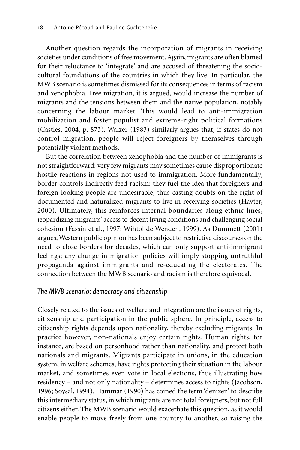Another question regards the incorporation of migrants in receiving societies under conditions of free movement. Again, migrants are often blamed for their reluctance to 'integrate' and are accused of threatening the sociocultural foundations of the countries in which they live. In particular, the MWB scenario is sometimes dismissed for its consequences in terms of racism and xenophobia. Free migration, it is argued, would increase the number of migrants and the tensions between them and the native population, notably concerning the labour market. This would lead to anti-immigration mobilization and foster populist and extreme-right political formations (Castles, 2004, p. 873). Walzer (1983) similarly argues that, if states do not control migration, people will reject foreigners by themselves through potentially violent methods.

But the correlation between xenophobia and the number of immigrants is not straightforward: very few migrants may sometimes cause disproportionate hostile reactions in regions not used to immigration. More fundamentally, border controls indirectly feed racism: they fuel the idea that foreigners and foreign-looking people are undesirable, thus casting doubts on the right of documented and naturalized migrants to live in receiving societies (Hayter, 2000). Ultimately, this reinforces internal boundaries along ethnic lines, jeopardizing migrants' access to decent living conditions and challenging social cohesion (Fassin et al., 1997; Wihtol de Wenden, 1999). As Dummett (2001) argues, Western public opinion has been subject to restrictive discourses on the need to close borders for decades, which can only support anti-immigrant feelings; any change in migration policies will imply stopping untruthful propaganda against immigrants and re-educating the electorates. The connection between the MWB scenario and racism is therefore equivocal.

#### *The MWB scenario: democracy and citizenship*

Closely related to the issues of welfare and integration are the issues of rights, citizenship and participation in the public sphere. In principle, access to citizenship rights depends upon nationality, thereby excluding migrants. In practice however, non-nationals enjoy certain rights. Human rights, for instance, are based on personhood rather than nationality, and protect both nationals and migrants. Migrants participate in unions, in the education system, in welfare schemes, have rights protecting their situation in the labour market, and sometimes even vote in local elections, thus illustrating how residency – and not only nationality – determines access to rights (Jacobson, 1996; Soysal, 1994). Hammar (1990) has coined the term 'denizen' to describe this intermediary status, in which migrants are not total foreigners, but not full citizens either. The MWB scenario would exacerbate this question, as it would enable people to move freely from one country to another, so raising the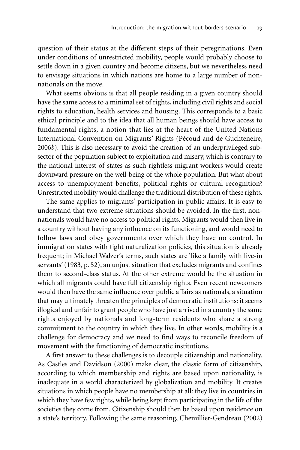question of their status at the different steps of their peregrinations. Even under conditions of unrestricted mobility, people would probably choose to settle down in a given country and become citizens, but we nevertheless need to envisage situations in which nations are home to a large number of nonnationals on the move.

What seems obvious is that all people residing in a given country should have the same access to a minimal set of rights, including civil rights and social rights to education, health services and housing. This corresponds to a basic ethical principle and to the idea that all human beings should have access to fundamental rights, a notion that lies at the heart of the United Nations International Convention on Migrants' Rights (Pécoud and de Guchteneire, 2006*b*). This is also necessary to avoid the creation of an underprivileged subsector of the population subject to exploitation and misery, which is contrary to the national interest of states as such rightless migrant workers would create downward pressure on the well-being of the whole population. But what about access to unemployment benefits, political rights or cultural recognition? Unrestricted mobility would challenge the traditional distribution of these rights.

The same applies to migrants' participation in public affairs. It is easy to understand that two extreme situations should be avoided. In the first, nonnationals would have no access to political rights. Migrants would then live in a country without having any influence on its functioning, and would need to follow laws and obey governments over which they have no control. In immigration states with tight naturalization policies, this situation is already frequent; in Michael Walzer's terms, such states are 'like a family with live-in servants' (1983, p. 52), an unjust situation that excludes migrants and confines them to second-class status. At the other extreme would be the situation in which all migrants could have full citizenship rights. Even recent newcomers would then have the same influence over public affairs as nationals, a situation that may ultimately threaten the principles of democratic institutions: it seems illogical and unfair to grant people who have just arrived in a country the same rights enjoyed by nationals and long-term residents who share a strong commitment to the country in which they live. In other words, mobility is a challenge for democracy and we need to find ways to reconcile freedom of movement with the functioning of democratic institutions.

A first answer to these challenges is to decouple citizenship and nationality. As Castles and Davidson (2000) make clear, the classic form of citizenship, according to which membership and rights are based upon nationality, is inadequate in a world characterized by globalization and mobility. It creates situations in which people have no membership at all: they live in countries in which they have few rights, while being kept from participating in the life of the societies they come from. Citizenship should then be based upon residence on a state's territory. Following the same reasoning, Chemillier-Gendreau (2002)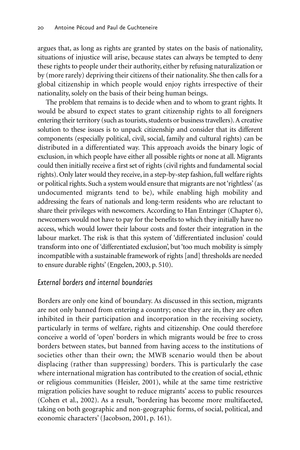argues that, as long as rights are granted by states on the basis of nationality, situations of injustice will arise, because states can always be tempted to deny these rights to people under their authority, either by refusing naturalization or by (more rarely) depriving their citizens of their nationality. She then calls for a global citizenship in which people would enjoy rights irrespective of their nationality, solely on the basis of their being human beings.

The problem that remains is to decide when and to whom to grant rights. It would be absurd to expect states to grant citizenship rights to all foreigners entering their territory (such as tourists, students or business travellers).A creative solution to these issues is to unpack citizenship and consider that its different components (especially political, civil, social, family and cultural rights) can be distributed in a differentiated way. This approach avoids the binary logic of exclusion, in which people have either all possible rights or none at all. Migrants could then initially receive a first set of rights (civil rights and fundamental social rights). Only later would they receive, in a step-by-step fashion, full welfare rights or political rights. Such a system would ensure that migrants are not 'rightless' (as undocumented migrants tend to be), while enabling high mobility and addressing the fears of nationals and long-term residents who are reluctant to share their privileges with newcomers. According to Han Entzinger (Chapter 6), newcomers would not have to pay for the benefits to which they initially have no access, which would lower their labour costs and foster their integration in the labour market. The risk is that this system of 'differentiated inclusion' could transform into one of 'differentiated exclusion', but 'too much mobility is simply incompatible with a sustainable framework of rights [and] thresholds are needed to ensure durable rights' (Engelen, 2003, p. 510).

#### *External borders and internal boundaries*

Borders are only one kind of boundary. As discussed in this section, migrants are not only banned from entering a country; once they are in, they are often inhibited in their participation and incorporation in the receiving society, particularly in terms of welfare, rights and citizenship. One could therefore conceive a world of 'open' borders in which migrants would be free to cross borders between states, but banned from having access to the institutions of societies other than their own; the MWB scenario would then be about displacing (rather than suppressing) borders. This is particularly the case where international migration has contributed to the creation of social, ethnic or religious communities (Heisler, 2001), while at the same time restrictive migration policies have sought to reduce migrants' access to public resources (Cohen et al., 2002). As a result, 'bordering has become more multifaceted, taking on both geographic and non-geographic forms, of social, political, and economic characters' (Jacobson, 2001, p. 161).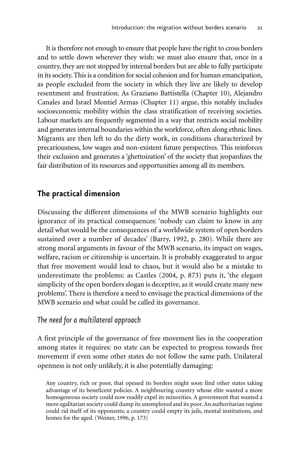It is therefore not enough to ensure that people have the right to cross borders and to settle down wherever they wish: we must also ensure that, once in a country, they are not stopped by internal borders but are able to fully participate in its society. This is a condition for social cohesion and for human emancipation, as people excluded from the society in which they live are likely to develop resentment and frustration. As Graziano Battistella (Chapter 10), Alejandro Canales and Israel Montiel Armas (Chapter 11) argue, this notably includes socioeconomic mobility within the class stratification of receiving societies. Labour markets are frequently segmented in a way that restricts social mobility and generates internal boundaries within the workforce, often along ethnic lines. Migrants are then left to do the dirty work, in conditions characterized by precariousness, low wages and non-existent future perspectives. This reinforces their exclusion and generates a 'ghettoization' of the society that jeopardizes the fair distribution of its resources and opportunities among all its members.

## **The practical dimension**

Discussing the different dimensions of the MWB scenario highlights our ignorance of its practical consequences: 'nobody can claim to know in any detail what would be the consequences of a worldwide system of open borders sustained over a number of decades' (Barry, 1992, p. 280). While there are strong moral arguments in favour of the MWB scenario, its impact on wages, welfare, racism or citizenship is uncertain. It is probably exaggerated to argue that free movement would lead to chaos, but it would also be a mistake to underestimate the problems: as Castles (2004, p. 873) puts it, 'the elegant simplicity of the open borders slogan is deceptive, as it would create many new problems'. There is therefore a need to envisage the practical dimensions of the MWB scenario and what could be called its governance.

## *The need for a multilateral approach*

A first principle of the governance of free movement lies in the cooperation among states it requires: no state can be expected to progress towards free movement if even some other states do not follow the same path. Unilateral openness is not only unlikely, it is also potentially damaging:

Any country, rich or poor, that opened its borders might soon find other states taking advantage of its beneficent policies. A neighbouring country whose elite wanted a more homogeneous society could now readily expel its minorities. A government that wanted a more egalitarian society could dump its unemployed and its poor. An authoritarian regime could rid itself of its opponents; a country could empty its jails, mental institutions, and homes for the aged. (Weiner, 1996, p. 173)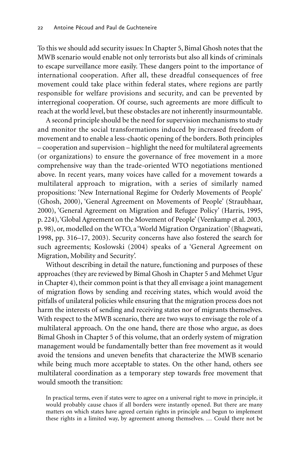To this we should add security issues: In Chapter 5, Bimal Ghosh notes that the MWB scenario would enable not only terrorists but also all kinds of criminals to escape surveillance more easily. These dangers point to the importance of international cooperation. After all, these dreadful consequences of free movement could take place within federal states, where regions are partly responsible for welfare provisions and security, and can be prevented by interregional cooperation. Of course, such agreements are more difficult to reach at the world level, but these obstacles are not inherently insurmountable.

A second principle should be the need for supervision mechanisms to study and monitor the social transformations induced by increased freedom of movement and to enable a less-chaotic opening of the borders. Both principles – cooperation and supervision – highlight the need for multilateral agreements (or organizations) to ensure the governance of free movement in a more comprehensive way than the trade-oriented WTO negotiations mentioned above. In recent years, many voices have called for a movement towards a multilateral approach to migration, with a series of similarly named propositions: 'New International Regime for Orderly Movements of People' (Ghosh, 2000), 'General Agreement on Movements of People' (Straubhaar, 2000), 'General Agreement on Migration and Refugee Policy' (Harris, 1995, p. 224),'Global Agreement on the Movement of People' (Veenkamp et al. 2003, p. 98), or, modelled on the WTO, a 'World Migration Organization' (Bhagwati, 1998, pp. 316–17, 2003). Security concerns have also fostered the search for such agreements; Koslowski (2004) speaks of a 'General Agreement on Migration, Mobility and Security'.

Without describing in detail the nature, functioning and purposes of these approaches (they are reviewed by Bimal Ghosh in Chapter 5 and Mehmet Ugur in Chapter 4), their common point is that they all envisage a joint management of migration flows by sending and receiving states, which would avoid the pitfalls of unilateral policies while ensuring that the migration process does not harm the interests of sending and receiving states nor of migrants themselves. With respect to the MWB scenario, there are two ways to envisage the role of a multilateral approach. On the one hand, there are those who argue, as does Bimal Ghosh in Chapter 5 of this volume, that an orderly system of migration management would be fundamentally better than free movement as it would avoid the tensions and uneven benefits that characterize the MWB scenario while being much more acceptable to states. On the other hand, others see multilateral coordination as a temporary step towards free movement that would smooth the transition:

In practical terms, even if states were to agree on a universal right to move in principle, it would probably cause chaos if all borders were instantly opened. But there are many matters on which states have agreed certain rights in principle and begun to implement these rights in a limited way, by agreement among themselves. … Could there not be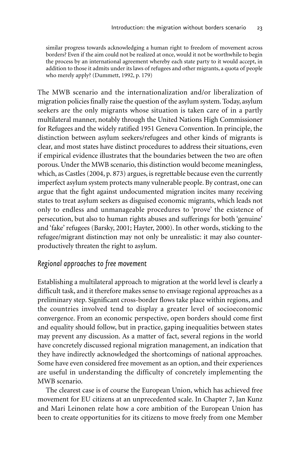similar progress towards acknowledging a human right to freedom of movement across borders? Even if the aim could not be realized at once, would it not be worthwhile to begin the process by an international agreement whereby each state party to it would accept, in addition to those it admits under its laws of refugees and other migrants, a quota of people who merely apply? (Dummett, 1992, p. 179)

The MWB scenario and the internationalization and/or liberalization of migration policies finally raise the question of the asylum system. Today, asylum seekers are the only migrants whose situation is taken care of in a partly multilateral manner, notably through the United Nations High Commissioner for Refugees and the widely ratified 1951 Geneva Convention. In principle, the distinction between asylum seekers/refugees and other kinds of migrants is clear, and most states have distinct procedures to address their situations, even if empirical evidence illustrates that the boundaries between the two are often porous. Under the MWB scenario, this distinction would become meaningless, which, as Castles (2004, p. 873) argues, is regrettable because even the currently imperfect asylum system protects many vulnerable people. By contrast, one can argue that the fight against undocumented migration incites many receiving states to treat asylum seekers as disguised economic migrants, which leads not only to endless and unmanageable procedures to 'prove' the existence of persecution, but also to human rights abuses and sufferings for both 'genuine' and 'fake' refugees (Barsky, 2001; Hayter, 2000). In other words, sticking to the refugee/migrant distinction may not only be unrealistic: it may also counterproductively threaten the right to asylum.

# *Regional approaches to free movement*

Establishing a multilateral approach to migration at the world level is clearly a difficult task, and it therefore makes sense to envisage regional approaches as a preliminary step. Significant cross-border flows take place within regions, and the countries involved tend to display a greater level of socioeconomic convergence. From an economic perspective, open borders should come first and equality should follow, but in practice, gaping inequalities between states may prevent any discussion. As a matter of fact, several regions in the world have concretely discussed regional migration management, an indication that they have indirectly acknowledged the shortcomings of national approaches. Some have even considered free movement as an option, and their experiences are useful in understanding the difficulty of concretely implementing the MWB scenario.

The clearest case is of course the European Union, which has achieved free movement for EU citizens at an unprecedented scale. In Chapter 7, Jan Kunz and Mari Leinonen relate how a core ambition of the European Union has been to create opportunities for its citizens to move freely from one Member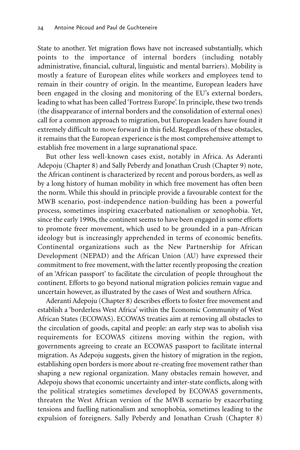State to another. Yet migration flows have not increased substantially, which points to the importance of internal borders (including notably administrative, financial, cultural, linguistic and mental barriers). Mobility is mostly a feature of European elites while workers and employees tend to remain in their country of origin. In the meantime, European leaders have been engaged in the closing and monitoring of the EU's external borders, leading to what has been called 'Fortress Europe'. In principle, these two trends (the disappearance of internal borders and the consolidation of external ones) call for a common approach to migration, but European leaders have found it extremely difficult to move forward in this field. Regardless of these obstacles, it remains that the European experience is the most comprehensive attempt to establish free movement in a large supranational space.

But other less well-known cases exist, notably in Africa. As Aderanti Adepoju (Chapter 8) and Sally Peberdy and Jonathan Crush (Chapter 9) note, the African continent is characterized by recent and porous borders, as well as by a long history of human mobility in which free movement has often been the norm. While this should in principle provide a favourable context for the MWB scenario, post-independence nation-building has been a powerful process, sometimes inspiring exacerbated nationalism or xenophobia. Yet, since the early 1990s, the continent seems to have been engaged in some efforts to promote freer movement, which used to be grounded in a pan-African ideology but is increasingly apprehended in terms of economic benefits. Continental organizations such as the New Partnership for African Development (NEPAD) and the African Union (AU) have expressed their commitment to free movement, with the latter recently proposing the creation of an 'African passport' to facilitate the circulation of people throughout the continent. Efforts to go beyond national migration policies remain vague and uncertain however, as illustrated by the cases of West and southern Africa.

Aderanti Adepoju (Chapter 8) describes efforts to foster free movement and establish a 'borderless West Africa' within the Economic Community of West African States (ECOWAS). ECOWAS treaties aim at removing all obstacles to the circulation of goods, capital and people: an early step was to abolish visa requirements for ECOWAS citizens moving within the region, with governments agreeing to create an ECOWAS passport to facilitate internal migration. As Adepoju suggests, given the history of migration in the region, establishing open borders is more about re-creating free movement rather than shaping a new regional organization. Many obstacles remain however, and Adepoju shows that economic uncertainty and inter-state conflicts, along with the political strategies sometimes developed by ECOWAS governments, threaten the West African version of the MWB scenario by exacerbating tensions and fuelling nationalism and xenophobia, sometimes leading to the expulsion of foreigners. Sally Peberdy and Jonathan Crush (Chapter 8)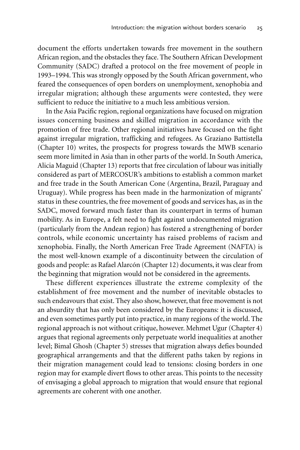document the efforts undertaken towards free movement in the southern African region, and the obstacles they face. The Southern African Development Community (SADC) drafted a protocol on the free movement of people in 1993–1994. This was strongly opposed by the South African government, who feared the consequences of open borders on unemployment, xenophobia and irregular migration; although these arguments were contested, they were sufficient to reduce the initiative to a much less ambitious version.

In the Asia Pacific region, regional organizations have focused on migration issues concerning business and skilled migration in accordance with the promotion of free trade. Other regional initiatives have focused on the fight against irregular migration, trafficking and refugees. As Graziano Battistella (Chapter 10) writes, the prospects for progress towards the MWB scenario seem more limited in Asia than in other parts of the world. In South America, Alicia Maguid (Chapter 13) reports that free circulation of labour was initially considered as part of MERCOSUR's ambitions to establish a common market and free trade in the South American Cone (Argentina, Brazil, Paraguay and Uruguay). While progress has been made in the harmonization of migrants' status in these countries, the free movement of goods and services has, as in the SADC, moved forward much faster than its counterpart in terms of human mobility. As in Europe, a felt need to fight against undocumented migration (particularly from the Andean region) has fostered a strengthening of border controls, while economic uncertainty has raised problems of racism and xenophobia. Finally, the North American Free Trade Agreement (NAFTA) is the most well-known example of a discontinuity between the circulation of goods and people: as Rafael Alarcón (Chapter 12) documents, it was clear from the beginning that migration would not be considered in the agreements.

These different experiences illustrate the extreme complexity of the establishment of free movement and the number of inevitable obstacles to such endeavours that exist. They also show, however, that free movement is not an absurdity that has only been considered by the Europeans: it is discussed, and even sometimes partly put into practice, in many regions of the world. The regional approach is not without critique, however. Mehmet Ugur (Chapter 4) argues that regional agreements only perpetuate world inequalities at another level; Bimal Ghosh (Chapter 5) stresses that migration always defies bounded geographical arrangements and that the different paths taken by regions in their migration management could lead to tensions: closing borders in one region may for example divert flows to other areas. This points to the necessity of envisaging a global approach to migration that would ensure that regional agreements are coherent with one another.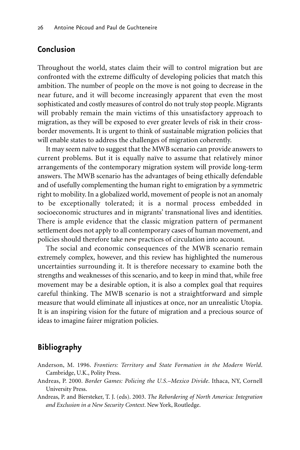## **Conclusion**

Throughout the world, states claim their will to control migration but are confronted with the extreme difficulty of developing policies that match this ambition. The number of people on the move is not going to decrease in the near future, and it will become increasingly apparent that even the most sophisticated and costly measures of control do not truly stop people. Migrants will probably remain the main victims of this unsatisfactory approach to migration, as they will be exposed to ever greater levels of risk in their crossborder movements. It is urgent to think of sustainable migration policies that will enable states to address the challenges of migration coherently.

It may seem naïve to suggest that the MWB scenario can provide answers to current problems. But it is equally naïve to assume that relatively minor arrangements of the contemporary migration system will provide long-term answers. The MWB scenario has the advantages of being ethically defendable and of usefully complementing the human right to emigration by a symmetric right to mobility. In a globalized world, movement of people is not an anomaly to be exceptionally tolerated; it is a normal process embedded in socioeconomic structures and in migrants' transnational lives and identities. There is ample evidence that the classic migration pattern of permanent settlement does not apply to all contemporary cases of human movement, and policies should therefore take new practices of circulation into account.

The social and economic consequences of the MWB scenario remain extremely complex, however, and this review has highlighted the numerous uncertainties surrounding it. It is therefore necessary to examine both the strengths and weaknesses of this scenario, and to keep in mind that, while free movement may be a desirable option, it is also a complex goal that requires careful thinking. The MWB scenario is not a straightforward and simple measure that would eliminate all injustices at once, nor an unrealistic Utopia. It is an inspiring vision for the future of migration and a precious source of ideas to imagine fairer migration policies.

# **Bibliography**

- Anderson, M. 1996. *Frontiers: Territory and State Formation in the Modern World*. Cambridge, U.K., Polity Press.
- Andreas, P. 2000. *Border Games: Policing the U.S.–Mexico Divide*. Ithaca, NY, Cornell University Press.

Andreas, P. and Biersteker, T. J. (eds). 2003. *The Rebordering of North America: Integration and Exclusion in a New Security Context*. New York, Routledge.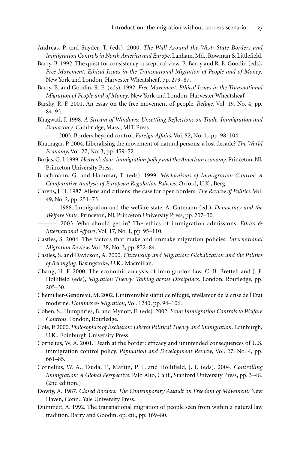- Andreas, P. and Snyder, T. (eds). 2000. *The Wall Around the West: State Borders and Immigration Controls in North America and Europe*. Lanham, Md., Rowman & Littlefield.
- Barry, B. 1992. The quest for consistency: a sceptical view. B. Barry and R. E. Goodin (eds), *Free Movement: Ethical Issues in the Transnational Migration of People and of Money*. New York and London, Harvester Wheatsheaf, pp. 279–87.
- Barry, B. and Goodin, R. E. (eds). 1992. *Free Movement: Ethical Issues in the Transnational Migration of People and of Money*. New York and London, Harvester Wheatsheaf.
- Barsky, R. F. 2001. An essay on the free movement of people. *Refuge*, Vol. 19, No. 4, pp. 84–93.
- Bhagwati, J. 1998. *A Stream of Windows: Unsettling Reflections on Trade, Immigration and Democracy*. Cambridge, Mass., MIT Press.

———. 2003. Borders beyond control. *Foreign Affairs*, Vol. 82, No. 1., pp. 98–104.

- Bhatnagar, P. 2004. Liberalising the movement of natural persons: a lost decade? *The World Economy*, Vol. 27, No. 3, pp. 459–72.
- Borjas, G. J. 1999. *Heaven's door: immigration policy and the American economy*. Princeton, NJ, Princeton University Press.
- Brochmann, G. and Hammar, T. (eds). 1999. *Mechanisms of Immigration Control: A Comparative Analysis of European Regulation Policies*. Oxford, U.K., Berg.
- Carens, J. H. 1987. Aliens and citizens: the case for open borders. *The Review of Politics*, Vol. 49, No. 2, pp. 251–73.
- ———. 1988. Immigration and the welfare state. A. Gutmann (ed.), *Democracy and the Welfare State*. Princeton, NJ, Princeton University Press, pp. 207–30.

———. 2003. Who should get in? The ethics of immigration admissions. *Ethics & International Affairs*, Vol. 17, No. 1, pp. 95–110.

- Castles, S. 2004. The factors that make and unmake migration policies. *International Migration Review*, Vol. 38, No. 3, pp. 852–84.
- Castles, S. and Davidson, A. 2000. *Citizenship and Migration: Globalization and the Politics of Belonging*. Basingstoke, U.K., Macmillan.
- Chang, H. F. 2000. The economic analysis of immigration law. C. B. Brettell and J. F. Hollifield (eds), *Migration Theory: Talking across Disciplines*. London, Routledge, pp. 205–30.
- Chemillier-Gendreau, M. 2002. L'introuvable statut de réfugié, révélateur de la crise de l'Etat moderne. *Hommes & Migration*, Vol. 1240, pp. 94–106.
- Cohen, S., Humphries, B. and Mynott, E. (eds). 2002. *From Immigration Controls to Welfare Controls*. London, Routledge.
- Cole, P. 2000. *Philosophies of Exclusion: Liberal Political Theory and Immigration*. Edinburgh, U.K., Edinburgh University Press.
- Cornelius, W. A. 2001. Death at the border: efficacy and unintended consequences of U.S. immigration control policy. *Population and Development Review*, Vol. 27, No. 4, pp. 661–85.
- Cornelius, W. A., Tsuda, T., Martin, P. L. and Hollifield, J. F. (eds). 2004. *Controlling Immigration: A Global Perspective*. Palo Alto, Calif., Stanford University Press, pp. 3–48. (2nd edition.)
- Dowty, A. 1987. *Closed Borders: The Contemporary Assault on Freedom of Movement*. New Haven, Conn., Yale University Press.
- Dummett, A. 1992. The transnational migration of people seen from within a natural law tradition. Barry and Goodin, op. cit., pp. 169–80.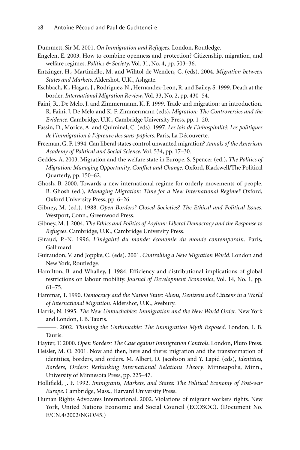Dummett, Sir M. 2001. *On Immigration and Refugees*. London, Routledge.

- Engelen, E. 2003. How to combine openness and protection? Citizenship, migration, and welfare regimes. *Politics & Society*, Vol. 31, No. 4, pp. 503–36.
- Entzinger, H., Martiniello, M. and Wihtol de Wenden, C. (eds). 2004. *Migration between States and Markets*. Aldershot, U.K., Ashgate.
- Eschbach, K., Hagan, J., Rodriguez, N., Hernandez-Leon, R. and Bailey, S. 1999. Death at the border. *International Migration Review*, Vol. 33, No. 2, pp. 430–54.
- Faini, R., De Melo, J. and Zimmermann, K. F. 1999. Trade and migration: an introduction. R. Faini, J. De Melo and K. F. Zimmermann (eds), *Migration: The Controversies and the Evidence*. Cambridge, U.K., Cambridge University Press, pp. 1–20.
- Fassin, D., Morice, A. and Quiminal, C. (eds). 1997. *Les lois de l'inhospitalité: Les politiques de l'immigration à l'épreuve des sans-papiers*. Paris, La Découverte.
- Freeman, G. P. 1994. Can liberal states control unwanted migration? *Annals of the American Academy of Political and Social Science*, Vol. 534, pp. 17–30.
- Geddes, A. 2003. Migration and the welfare state in Europe. S. Spencer (ed.), *The Politics of Migration: Managing Opportunity, Conflict and Change*. Oxford, Blackwell/The Political Quarterly, pp. 150–62.
- Ghosh, B. 2000. Towards a new international regime for orderly movements of people. B. Ghosh (ed.), *Managing Migration: Time for a New International Regime?* Oxford, Oxford University Press, pp. 6–26.
- Gibney, M. (ed.). 1988. *Open Borders? Closed Societies? The Ethical and Political Issues*. Westport, Conn., Greenwood Press.
- Gibney, M. J. 2004. *The Ethics and Politics of Asylum: Liberal Democracy and the Response to Refugees*. Cambridge, U.K., Cambridge University Press.
- Giraud, P.-N. 1996. *L'inégalité du monde: économie du monde contemporain*. Paris, Gallimard.
- Guiraudon, V. and Joppke, C. (eds). 2001. *Controlling a New Migration World*. London and New York, Routledge.
- Hamilton, B. and Whalley, J. 1984. Efficiency and distributional implications of global restrictions on labour mobility. *Journal of Development Economics*, Vol. 14, No. 1, pp. 61–75.
- Hammar, T. 1990. *Democracy and the Nation State: Aliens, Denizens and Citizens in a World of International Migration*. Aldershot, U.K., Avebury.
- Harris, N. 1995. *The New Untouchables: Immigration and the New World Order*. New York and London, I. B. Tauris.

Hayter, T. 2000. *Open Borders: The Case against Immigration Controls*. London, Pluto Press.

Heisler, M. O. 2001. Now and then, here and there: migration and the transformation of identities, borders, and orders. M. Albert, D. Jacobson and Y. Lapid (eds), *Identities, Borders, Orders: Rethinking International Relations Theory*. Minneapolis, Minn., University of Minnesota Press, pp. 225–47.

- Hollifield, J. F. 1992. *Immigrants, Markets, and States: The Political Economy of Post-war Europe*. Cambridge, Mass., Harvard University Press.
- Human Rights Advocates International. 2002. Violations of migrant workers rights. New York, United Nations Economic and Social Council (ECOSOC). (Document No. E/CN.4/2002/NGO/45.)

<sup>———. 2002.</sup> *Thinking the Unthinkable: The Immigration Myth Exposed*. London, I. B. Tauris.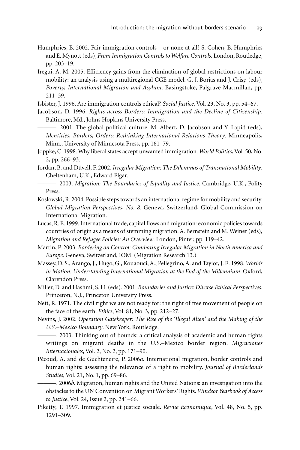- Humphries, B. 2002. Fair immigration controls or none at all? S. Cohen, B. Humphries and E. Mynott (eds), *From Immigration Controls to Welfare Controls*. London, Routledge, pp. 203–19.
- Iregui, A. M. 2005. Efficiency gains from the elimination of global restrictions on labour mobility: an analysis using a multiregional CGE model. G. J. Borjas and J. Crisp (eds), *Poverty, International Migration and Asylum*. Basingstoke, Palgrave Macmillan, pp. 211–39.
- Isbister, J. 1996. Are immigration controls ethical? *Social Justice*, Vol. 23, No. 3, pp. 54–67.
- Jacobson, D. 1996. *Rights across Borders: Immigration and the Decline of Citizenship*. Baltimore, Md., Johns Hopkins University Press.
	- ———. 2001. The global political culture. M. Albert, D. Jacobson and Y. Lapid (eds), *Identities, Borders, Orders: Rethinking International Relations Theory*. Minneapolis, Minn., University of Minnesota Press, pp. 161–79.
- Joppke, C. 1998. Why liberal states accept unwanted immigration. *World Politics*, Vol. 50, No. 2, pp. 266–93.
- Jordan, B. and Düvell, F. 2002. *Irregular Migration: The Dilemmas of Transnational Mobility*. Cheltenham, U.K., Edward Elgar.
	- ———. 2003. *Migration: The Boundaries of Equality and Justice*. Cambridge, U.K., Polity Press.
- Koslowski, R. 2004. Possible steps towards an international regime for mobility and security. *Global Migration Perspectives, No. 8*. Geneva, Switzerland, Global Commission on International Migration.
- Lucas, R. E. 1999. International trade, capital flows and migration: economic policies towards countries of origin as a means of stemming migration. A. Bernstein and M. Weiner (eds), *Migration and Refugee Policies: An Overview*. London, Pinter, pp. 119–42.
- Martin, P. 2003. *Bordering on Control: Combating Irregular Migration in North America and Europe*. Geneva, Switzerland, IOM. (Migration Research 13.)
- Massey, D. S., Arango, J., Hugo, G., Kouaouci, A., Pellegrino, A. and Taylor, J. E. 1998. *Worlds in Motion: Understanding International Migration at the End of the Millennium*. Oxford, Clarendon Press.
- Miller, D. and Hashmi, S. H. (eds). 2001. *Boundaries and Justice: Diverse Ethical Perspectives*. Princeton, N.J., Princeton University Press.
- Nett, R. 1971. The civil right we are not ready for: the right of free movement of people on the face of the earth. *Ethics*, Vol. 81, No. 3, pp. 212–27.
- Nevins, J. 2002. *Operation Gatekeeper: The Rise of the 'Illegal Alien' and the Making of the U.S.–Mexico Boundary*. New York, Routledge.

———. 2003. Thinking out of bounds: a critical analysis of academic and human rights writings on migrant deaths in the U.S.–Mexico border region. *Migraciones Internacionales*, Vol. 2, No. 2, pp. 171–90.

Pécoud, A. and de Guchteneire, P. 2006*a*. International migration, border controls and human rights: assessing the relevance of a right to mobility. *Journal of Borderlands Studies*, Vol. 21, No. 1, pp. 69–86.

———. 2006*b*. Migration, human rights and the United Nations: an investigation into the obstacles to the UN Convention on Migrant Workers' Rights. *Windsor Yearbook of Access to Justice*, Vol. 24, Issue 2, pp. 241–66.

Piketty, T. 1997. Immigration et justice sociale. *Revue Economique*, Vol. 48, No. 5, pp. 1291–309.